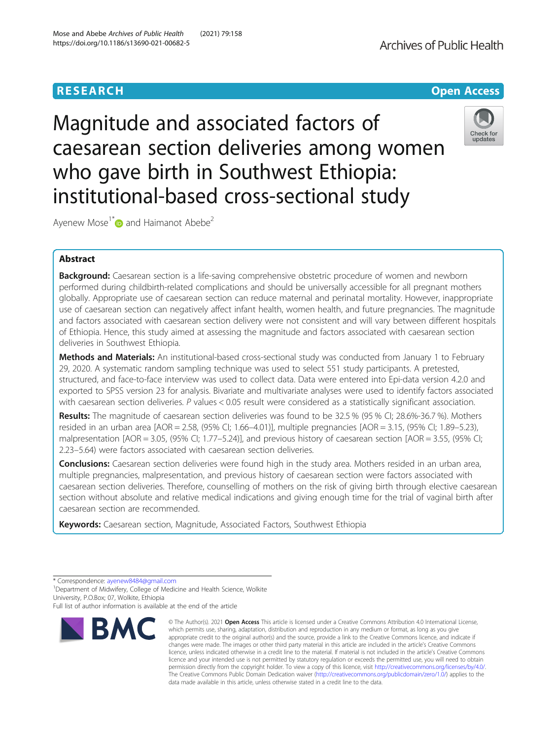Magnitude and associated factors of caesarean section deliveries among women who gave birth in Southwest Ethiopia: institutional-based cross-sectional study

Ayenew Mose<sup>1\*</sup> and Haimanot Abebe<sup>2</sup>

## Abstract

**Background:** Caesarean section is a life-saving comprehensive obstetric procedure of women and newborn performed during childbirth-related complications and should be universally accessible for all pregnant mothers globally. Appropriate use of caesarean section can reduce maternal and perinatal mortality. However, inappropriate use of caesarean section can negatively affect infant health, women health, and future pregnancies. The magnitude and factors associated with caesarean section delivery were not consistent and will vary between different hospitals of Ethiopia. Hence, this study aimed at assessing the magnitude and factors associated with caesarean section deliveries in Southwest Ethiopia.

Methods and Materials: An institutional-based cross-sectional study was conducted from January 1 to February 29, 2020. A systematic random sampling technique was used to select 551 study participants. A pretested, structured, and face-to-face interview was used to collect data. Data were entered into Epi-data version 4.2.0 and exported to SPSS version 23 for analysis. Bivariate and multivariate analyses were used to identify factors associated with caesarean section deliveries. P values < 0.05 result were considered as a statistically significant association.

Results: The magnitude of caesarean section deliveries was found to be 32.5 % (95 % CI; 28.6%-36.7 %). Mothers resided in an urban area [AOR = 2.58, (95% CI; 1.66–4.01)], multiple pregnancies [AOR = 3.15, (95% CI; 1.89–5.23), malpresentation [AOR = 3.05, (95% CI; 1.77–5.24)], and previous history of caesarean section [AOR = 3.55, (95% CI; 2.23–5.64) were factors associated with caesarean section deliveries.

**Conclusions:** Caesarean section deliveries were found high in the study area. Mothers resided in an urban area, multiple pregnancies, malpresentation, and previous history of caesarean section were factors associated with caesarean section deliveries. Therefore, counselling of mothers on the risk of giving birth through elective caesarean section without absolute and relative medical indications and giving enough time for the trial of vaginal birth after caesarean section are recommended.

Keywords: Caesarean section, Magnitude, Associated Factors, Southwest Ethiopia

**RMC** 



© The Author(s), 2021 **Open Access** This article is licensed under a Creative Commons Attribution 4.0 International License, which permits use, sharing, adaptation, distribution and reproduction in any medium or format, as long as you give



# **RESEARCH CHE Open Access**

<sup>\*</sup> Correspondence: [ayenew8484@gmail.com](mailto:ayenew8484@gmail.com) <sup>1</sup>

<sup>&</sup>lt;sup>1</sup>Department of Midwifery, College of Medicine and Health Science, Wolkite University, P.O.Box; 07, Wolkite, Ethiopia

Full list of author information is available at the end of the article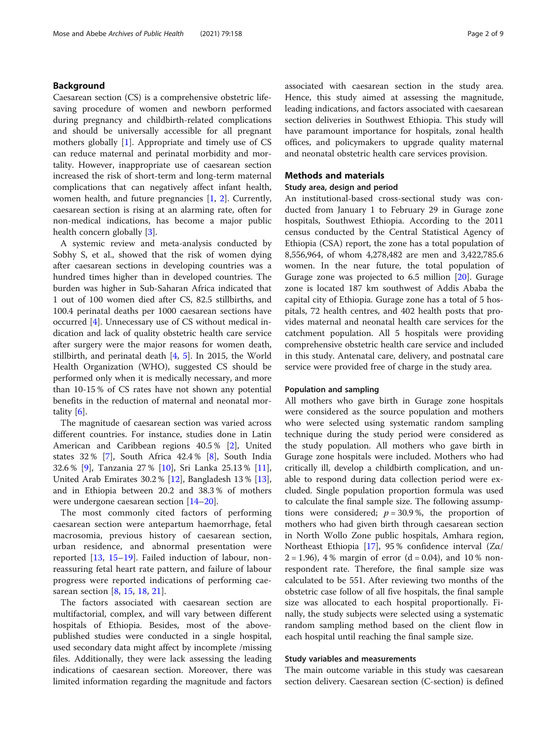## Background

Caesarean section (CS) is a comprehensive obstetric lifesaving procedure of women and newborn performed during pregnancy and childbirth-related complications and should be universally accessible for all pregnant mothers globally [[1\]](#page-7-0). Appropriate and timely use of CS can reduce maternal and perinatal morbidity and mortality. However, inappropriate use of caesarean section increased the risk of short-term and long-term maternal complications that can negatively affect infant health, women health, and future pregnancies [\[1](#page-7-0), [2\]](#page-7-0). Currently, caesarean section is rising at an alarming rate, often for non-medical indications, has become a major public health concern globally [\[3\]](#page-7-0).

A systemic review and meta-analysis conducted by Sobhy S, et al., showed that the risk of women dying after caesarean sections in developing countries was a hundred times higher than in developed countries. The burden was higher in Sub-Saharan Africa indicated that 1 out of 100 women died after CS, 82.5 stillbirths, and 100.4 perinatal deaths per 1000 caesarean sections have occurred [\[4](#page-7-0)]. Unnecessary use of CS without medical indication and lack of quality obstetric health care service after surgery were the major reasons for women death, stillbirth, and perinatal death [[4,](#page-7-0) [5](#page-7-0)]. In 2015, the World Health Organization (WHO), suggested CS should be performed only when it is medically necessary, and more than 10-15 % of CS rates have not shown any potential benefits in the reduction of maternal and neonatal mortality [\[6\]](#page-7-0).

The magnitude of caesarean section was varied across different countries. For instance, studies done in Latin American and Caribbean regions 40.5 % [[2\]](#page-7-0), United states 32 % [[7\]](#page-7-0), South Africa 42.4 % [[8\]](#page-7-0), South India 32.6 % [[9\]](#page-7-0), Tanzania 27 % [[10\]](#page-7-0), Sri Lanka 25.13 % [\[11](#page-7-0)], United Arab Emirates 30.2 % [[12](#page-7-0)], Bangladesh 13 % [\[13](#page-8-0)], and in Ethiopia between 20.2 and 38.3 % of mothers were undergone caesarean section [[14](#page-8-0)–[20](#page-8-0)].

The most commonly cited factors of performing caesarean section were antepartum haemorrhage, fetal macrosomia, previous history of caesarean section, urban residence, and abnormal presentation were reported [[13,](#page-8-0) [15](#page-8-0)–[19](#page-8-0)]. Failed induction of labour, nonreassuring fetal heart rate pattern, and failure of labour progress were reported indications of performing caesarean section [[8,](#page-7-0) [15](#page-8-0), [18](#page-8-0), [21](#page-8-0)].

The factors associated with caesarean section are multifactorial, complex, and will vary between different hospitals of Ethiopia. Besides, most of the abovepublished studies were conducted in a single hospital, used secondary data might affect by incomplete /missing files. Additionally, they were lack assessing the leading indications of caesarean section. Moreover, there was limited information regarding the magnitude and factors associated with caesarean section in the study area. Hence, this study aimed at assessing the magnitude, leading indications, and factors associated with caesarean section deliveries in Southwest Ethiopia. This study will have paramount importance for hospitals, zonal health offices, and policymakers to upgrade quality maternal and neonatal obstetric health care services provision.

## Methods and materials

## Study area, design and period

An institutional-based cross-sectional study was conducted from January 1 to February 29 in Gurage zone hospitals, Southwest Ethiopia. According to the 2011 census conducted by the Central Statistical Agency of Ethiopia (CSA) report, the zone has a total population of 8,556,964, of whom 4,278,482 are men and 3,422,785.6 women. In the near future, the total population of Gurage zone was projected to 6.5 million [\[20](#page-8-0)]. Gurage zone is located 187 km southwest of Addis Ababa the capital city of Ethiopia. Gurage zone has a total of 5 hospitals, 72 health centres, and 402 health posts that provides maternal and neonatal health care services for the catchment population. All 5 hospitals were providing comprehensive obstetric health care service and included in this study. Antenatal care, delivery, and postnatal care service were provided free of charge in the study area.

#### Population and sampling

All mothers who gave birth in Gurage zone hospitals were considered as the source population and mothers who were selected using systematic random sampling technique during the study period were considered as the study population. All mothers who gave birth in Gurage zone hospitals were included. Mothers who had critically ill, develop a childbirth complication, and unable to respond during data collection period were excluded. Single population proportion formula was used to calculate the final sample size. The following assumptions were considered;  $p = 30.9$ %, the proportion of mothers who had given birth through caesarean section in North Wollo Zone public hospitals, Amhara region, Northeast Ethiopia [\[17\]](#page-8-0), 95 % confidence interval  $(Z\alpha)$  $2 = 1.96$ , 4% margin of error (d = 0.04), and 10% nonrespondent rate. Therefore, the final sample size was calculated to be 551. After reviewing two months of the obstetric case follow of all five hospitals, the final sample size was allocated to each hospital proportionally. Finally, the study subjects were selected using a systematic random sampling method based on the client flow in each hospital until reaching the final sample size.

#### Study variables and measurements

The main outcome variable in this study was caesarean section delivery. Caesarean section (C-section) is defined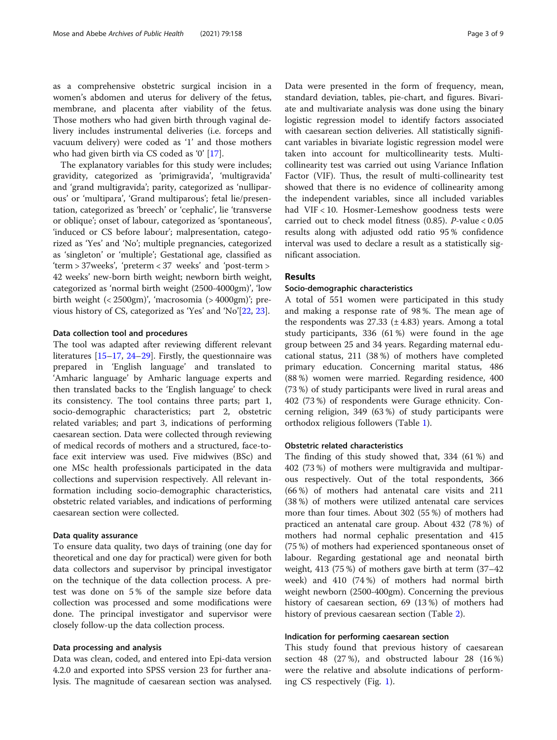as a comprehensive obstetric surgical incision in a women's abdomen and uterus for delivery of the fetus, membrane, and placenta after viability of the fetus. Those mothers who had given birth through vaginal delivery includes instrumental deliveries (i.e. forceps and vacuum delivery) were coded as '1' and those mothers who had given birth via CS coded as '0' [\[17](#page-8-0)].

The explanatory variables for this study were includes; gravidity, categorized as 'primigravida', 'multigravida' and 'grand multigravida'; parity, categorized as 'nulliparous' or 'multipara', 'Grand multiparous'; fetal lie/presentation, categorized as 'breech' or 'cephalic', lie 'transverse or oblique'; onset of labour, categorized as 'spontaneous', 'induced or CS before labour'; malpresentation, categorized as 'Yes' and 'No'; multiple pregnancies, categorized as 'singleton' or 'multiple'; Gestational age, classified as 'term > 37weeks', 'preterm < 37 weeks' and 'post-term > 42 weeks' new-born birth weight; newborn birth weight, categorized as 'normal birth weight (2500-4000gm)', 'low birth weight  $\left($  < 2500gm)', 'macrosomia  $\left($  > 4000gm)'; previous history of CS, categorized as 'Yes' and 'No'[[22](#page-8-0), [23](#page-8-0)].

### Data collection tool and procedures

The tool was adapted after reviewing different relevant literatures [\[15](#page-8-0)–[17,](#page-8-0) [24](#page-8-0)–[29](#page-8-0)]. Firstly, the questionnaire was prepared in 'English language' and translated to 'Amharic language' by Amharic language experts and then translated backs to the 'English language' to check its consistency. The tool contains three parts; part 1, socio-demographic characteristics; part 2, obstetric related variables; and part 3, indications of performing caesarean section. Data were collected through reviewing of medical records of mothers and a structured, face-toface exit interview was used. Five midwives (BSc) and one MSc health professionals participated in the data collections and supervision respectively. All relevant information including socio-demographic characteristics, obstetric related variables, and indications of performing caesarean section were collected.

### Data quality assurance

To ensure data quality, two days of training (one day for theoretical and one day for practical) were given for both data collectors and supervisor by principal investigator on the technique of the data collection process. A pretest was done on 5 % of the sample size before data collection was processed and some modifications were done. The principal investigator and supervisor were closely follow-up the data collection process.

## Data processing and analysis

Data was clean, coded, and entered into Epi-data version 4.2.0 and exported into SPSS version 23 for further analysis. The magnitude of caesarean section was analysed.

Data were presented in the form of frequency, mean, standard deviation, tables, pie-chart, and figures. Bivariate and multivariate analysis was done using the binary logistic regression model to identify factors associated with caesarean section deliveries. All statistically significant variables in bivariate logistic regression model were taken into account for multicollinearity tests. Multicollinearity test was carried out using Variance Inflation Factor (VIF). Thus, the result of multi-collinearity test showed that there is no evidence of collinearity among the independent variables, since all included variables had VIF < 10. Hosmer-Lemeshow goodness tests were carried out to check model fitness (0.85). P-value < 0.05 results along with adjusted odd ratio 95 % confidence interval was used to declare a result as a statistically significant association.

## Results

#### Socio-demographic characteristics

A total of 551 women were participated in this study and making a response rate of 98 %. The mean age of the respondents was  $27.33$  ( $\pm$  4.83) years. Among a total study participants, 336 (61 %) were found in the age group between 25 and 34 years. Regarding maternal educational status, 211 (38 %) of mothers have completed primary education. Concerning marital status, 486 (88 %) women were married. Regarding residence, 400 (73 %) of study participants were lived in rural areas and 402 (73 %) of respondents were Gurage ethnicity. Concerning religion, 349 (63 %) of study participants were orthodox religious followers (Table [1\)](#page-3-0).

## Obstetric related characteristics

The finding of this study showed that, 334 (61 %) and 402 (73 %) of mothers were multigravida and multiparous respectively. Out of the total respondents, 366 (66 %) of mothers had antenatal care visits and 211 (38 %) of mothers were utilized antenatal care services more than four times. About 302 (55 %) of mothers had practiced an antenatal care group. About 432 (78 %) of mothers had normal cephalic presentation and 415 (75 %) of mothers had experienced spontaneous onset of labour. Regarding gestational age and neonatal birth weight, 413 (75 %) of mothers gave birth at term (37–42 week) and 410 (74 %) of mothers had normal birth weight newborn (2500-400gm). Concerning the previous history of caesarean section, 69 (13 %) of mothers had history of previous caesarean section (Table [2](#page-3-0)).

## Indication for performing caesarean section

This study found that previous history of caesarean section 48 (27 %), and obstructed labour 28 (16 %) were the relative and absolute indications of performing CS respectively (Fig. [1\)](#page-4-0).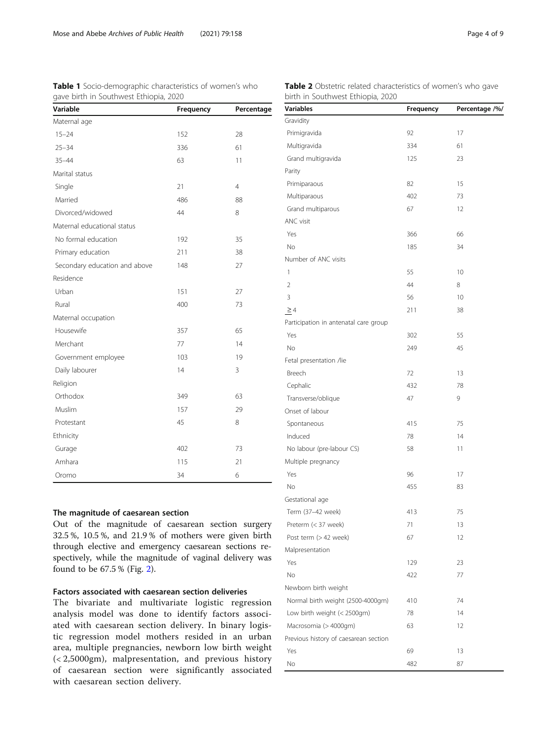<span id="page-3-0"></span>

| <b>Table 1</b> Socio-demographic characteristics of women's who | Table 2 $\circ$ |            |                                 |
|-----------------------------------------------------------------|-----------------|------------|---------------------------------|
| gave birth in Southwest Ethiopia, 2020<br>Variable              | Frequency       | Percentage | birth in So<br><b>Variables</b> |
| Maternal age                                                    |                 |            | Gravidity                       |
| $15 - 24$                                                       | 152             | 28         | Primigravida                    |
| $25 - 34$                                                       | 336             | 61         | Multigravida                    |
| $35 - 44$                                                       | 63              | 11         | Grand multi                     |
| Marital status                                                  |                 |            | Parity                          |
| Single                                                          | 21              | 4          | Primiparaou                     |
| Married                                                         | 486             | 88         | Multiparaou                     |
| Divorcod/widowod                                                | $\Lambda$       | $\Omega$   | Grand multi                     |

| Marital status                |     |                |
|-------------------------------|-----|----------------|
| Single                        | 21  | $\overline{4}$ |
| Married                       | 486 | 88             |
| Divorced/widowed              | 44  | 8              |
| Maternal educational status   |     |                |
| No formal education           | 192 | 35             |
| Primary education             | 211 | 38             |
| Secondary education and above | 148 | 27             |
| Residence                     |     |                |
| Urban                         | 151 | 27             |
| Rural                         | 400 | 73             |
| Maternal occupation           |     |                |
| Housewife                     | 357 | 65             |
| Merchant                      | 77  | 14             |
| Government employee           | 103 | 19             |
| Daily labourer                | 14  | 3              |
| Religion                      |     |                |
| Orthodox                      | 349 | 63             |
| Muslim                        | 157 | 29             |
| Protestant                    | 45  | 8              |
| Ethnicity                     |     |                |
| Gurage                        | 402 | 73             |
| Amhara                        | 115 | 21             |

## The magnitude of caesarean section

Out of the magnitude of caesarean section surgery 32.5 %, 10.5 %, and 21.9 % of mothers were given birth through elective and emergency caesarean sections respectively, while the magnitude of vaginal delivery was found to be 67.5 % (Fig. [2](#page-4-0)).

## Factors associated with caesarean section deliveries

Oromo 34 6

The bivariate and multivariate logistic regression analysis model was done to identify factors associated with caesarean section delivery. In binary logistic regression model mothers resided in an urban area, multiple pregnancies, newborn low birth weight (< 2,5000gm), malpresentation, and previous history of caesarean section were significantly associated with caesarean section delivery.

| Variables                             | Frequency | Percentage /%/ |
|---------------------------------------|-----------|----------------|
| Gravidity                             |           |                |
| Primigravida                          | 92        | 17             |
| Multigravida                          | 334       | 61             |
| Grand multigravida                    | 125       | 23             |
| Parity                                |           |                |
| Primiparaous                          | 82        | 15             |
| Multiparaous                          | 402       | 73             |
| Grand multiparous                     | 67        | 12             |
| ANC visit                             |           |                |
| Yes                                   | 366       | 66             |
| No                                    | 185       | 34             |
| Number of ANC visits                  |           |                |
| 1                                     | 55        | 10             |
| $\overline{2}$                        | 44        | 8              |
| 3                                     | 56        | 10             |
| $\geq 4$                              | 211       | 38             |
| Participation in antenatal care group |           |                |
| Yes                                   | 302       | 55             |
| No                                    | 249       | 45             |
| Fetal presentation /lie               |           |                |
| Breech                                | 72        | 13             |
| Cephalic                              | 432       | 78             |
| Transverse/oblique                    | 47        | 9              |
| Onset of labour                       |           |                |
| Spontaneous                           | 415       | 75             |
| Induced                               | 78        | 14             |
| No labour (pre-labour CS)             | 58        | 11             |
| Multiple pregnancy                    |           |                |
| Yes                                   | 96        | 17             |
| No                                    | 455       | 83             |
| Gestational age                       |           |                |
| Term (37-42 week)                     | 413       | 75             |
| Preterm (< 37 week)                   | 71        | 13             |
| Post term (> 42 week)                 | 67        | 12             |
| Malpresentation                       |           |                |
| Yes                                   | 129       | 23             |
| No                                    | 422       | 77             |
| Newborn birth weight                  |           |                |
| Normal birth weight (2500-4000gm)     | 410       | 74             |
| Low birth weight (< 2500gm)           | 78        | 14             |
| Macrosomia (> 4000gm)                 | 63        | 12             |
| Previous history of caesarean section |           |                |
| Yes                                   | 69        | 13             |
| No                                    | 482       | 87             |

bstetric related characteristics of women's who gave uthwest Ethiopia, 2020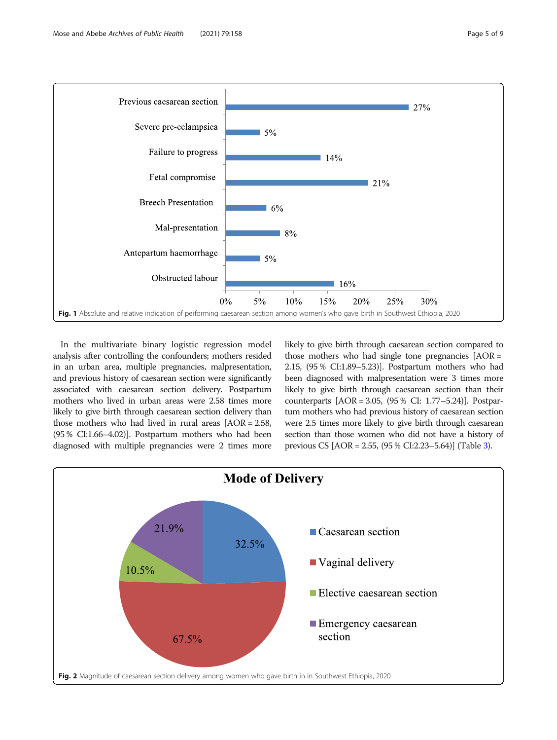<span id="page-4-0"></span>

In the multivariate binary logistic regression model analysis after controlling the confounders; mothers resided in an urban area, multiple pregnancies, malpresentation, and previous history of caesarean section were significantly associated with caesarean section delivery. Postpartum mothers who lived in urban areas were 2.58 times more likely to give birth through caesarean section delivery than those mothers who had lived in rural areas [AOR = 2.58, (95 % CI:1.66–4.02)]. Postpartum mothers who had been diagnosed with multiple pregnancies were 2 times more likely to give birth through caesarean section compared to those mothers who had single tone pregnancies  $[AOR =$ 2.15, (95 % CI:1.89–5.23)]. Postpartum mothers who had been diagnosed with malpresentation were 3 times more likely to give birth through caesarean section than their counterparts [AOR = 3.05, (95 % CI: 1.77–5.24)]. Postpartum mothers who had previous history of caesarean section were 2.5 times more likely to give birth through caesarean section than those women who did not have a history of previous CS [AOR = 2.55, (95 % CI:2.23–5.64)] (Table [3\)](#page-5-0).

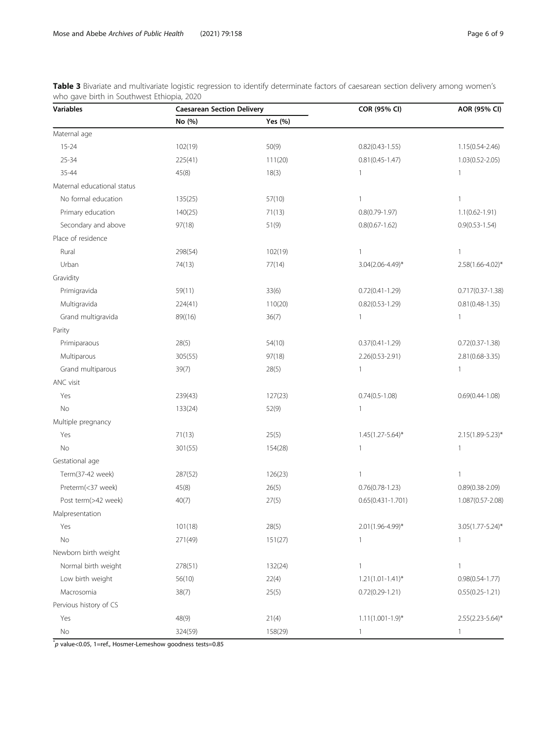<span id="page-5-0"></span>Table 3 Bivariate and multivariate logistic regression to identify determinate factors of caesarean section delivery among women's who gave birth in Southwest Ethiopia, 2020

| <b>Variables</b>            | <b>Caesarean Section Delivery</b> |         | COR (95% CI)            | AOR (95% CI)          |
|-----------------------------|-----------------------------------|---------|-------------------------|-----------------------|
|                             | No (%)                            | Yes (%) |                         |                       |
| Maternal age                |                                   |         |                         |                       |
| $15 - 24$                   | 102(19)                           | 50(9)   | $0.82(0.43 - 1.55)$     | 1.15(0.54-2.46)       |
| 25-34                       | 225(41)                           | 111(20) | $0.81(0.45 - 1.47)$     | $1.03(0.52 - 2.05)$   |
| 35-44                       | 45(8)                             | 18(3)   | $\mathbf{1}$            | $\mathbf{1}$          |
| Maternal educational status |                                   |         |                         |                       |
| No formal education         | 135(25)                           | 57(10)  | $\mathbf{1}$            | $\mathbf{1}$          |
| Primary education           | 140(25)                           | 71(13)  | $0.8(0.79 - 1.97)$      | $1.1(0.62 - 1.91)$    |
| Secondary and above         | 97(18)                            | 51(9)   | $0.8(0.67 - 1.62)$      | $0.9(0.53 - 1.54)$    |
| Place of residence          |                                   |         |                         |                       |
| Rural                       | 298(54)                           | 102(19) | $\mathbf{1}$            | $\mathbf{1}$          |
| Urban                       | 74(13)                            | 77(14)  | 3.04(2.06-4.49)*        | 2.58(1.66-4.02)*      |
| Gravidity                   |                                   |         |                         |                       |
| Primigravida                | 59(11)                            | 33(6)   | $0.72(0.41 - 1.29)$     | 0.717(0.37-1.38)      |
| Multigravida                | 224(41)                           | 110(20) | $0.82(0.53 - 1.29)$     | $0.81(0.48-1.35)$     |
| Grand multigravida          | 89((16)                           | 36(7)   | $\mathbf{1}$            | 1                     |
| Parity                      |                                   |         |                         |                       |
| Primiparaous                | 28(5)                             | 54(10)  | $0.37(0.41 - 1.29)$     | $0.72(0.37 - 1.38)$   |
| Multiparous                 | 305(55)                           | 97(18)  | 2.26(0.53-2.91)         | 2.81 (0.68-3.35)      |
| Grand multiparous           | 39(7)                             | 28(5)   | $\mathbf{1}$            | $\mathbf{1}$          |
| ANC visit                   |                                   |         |                         |                       |
| Yes                         | 239(43)                           | 127(23) | $0.74(0.5 - 1.08)$      | $0.69(0.44 - 1.08)$   |
| No                          | 133(24)                           | 52(9)   | 1                       |                       |
| Multiple pregnancy          |                                   |         |                         |                       |
| Yes                         | 71(13)                            | 25(5)   | $1.45(1.27 - 5.64)^{*}$ | 2.15(1.89-5.23)*      |
| No                          | 301(55)                           | 154(28) | $\mathbf{1}$            | $\mathbf{1}$          |
| Gestational age             |                                   |         |                         |                       |
| Term(37-42 week)            | 287(52)                           | 126(23) | $\mathbf{1}$            | $\mathbf{1}$          |
| Preterm(<37 week)           | 45(8)                             | 26(5)   | $0.76(0.78-1.23)$       | $0.89(0.38 - 2.09)$   |
| Post term(>42 week)         | 40(7)                             | 27(5)   | $0.65(0.431 - 1.701)$   | 1.087(0.57-2.08)      |
| Malpresentation             |                                   |         |                         |                       |
| Yes                         | 101(18)                           | 28(5)   | 2.01(1.96-4.99)*        | 3.05(1.77-5.24)*      |
| No                          | 271(49)                           | 151(27) | 1                       | 1                     |
| Newborn birth weight        |                                   |         |                         |                       |
| Normal birth weight         | 278(51)                           | 132(24) | $\mathbf{1}$            | 1                     |
| Low birth weight            | 56(10)                            | 22(4)   | $1.21(1.01-1.41)^{*}$   | $0.98(0.54 - 1.77)$   |
| Macrosomia                  | 38(7)                             | 25(5)   | $0.72(0.29 - 1.21)$     | $0.55(0.25 - 1.21)$   |
| Pervious history of CS      |                                   |         |                         |                       |
| Yes                         | 48(9)                             | 21(4)   | $1.11(1.001-1.9)*$      | $2.55(2.23 - 5.64)^*$ |
| No                          | 324(59)                           | 158(29) | $\mathbf{1}$            | $\mathbf{1}$          |

 $\check{}p$  value<0.05, 1=ref., Hosmer-Lemeshow goodness tests=0.85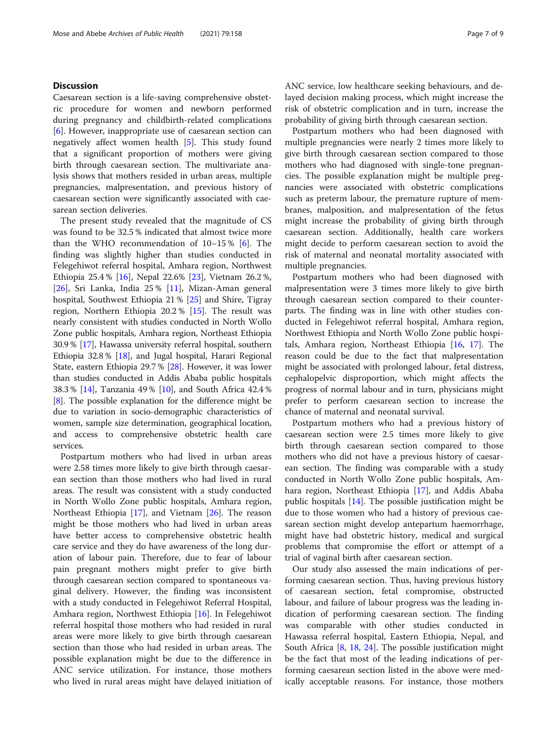## **Discussion**

Caesarean section is a life-saving comprehensive obstetric procedure for women and newborn performed during pregnancy and childbirth-related complications [[6\]](#page-7-0). However, inappropriate use of caesarean section can negatively affect women health [[5\]](#page-7-0). This study found that a significant proportion of mothers were giving birth through caesarean section. The multivariate analysis shows that mothers resided in urban areas, multiple pregnancies, malpresentation, and previous history of caesarean section were significantly associated with caesarean section deliveries.

The present study revealed that the magnitude of CS was found to be 32.5 % indicated that almost twice more than the WHO recommendation of 10–15 % [[6\]](#page-7-0). The finding was slightly higher than studies conducted in Felegehiwot referral hospital, Amhara region, Northwest Ethiopia 25.4 % [\[16\]](#page-8-0), Nepal 22.6% [[23\]](#page-8-0), Vietnam 26.2 %, [[26\]](#page-8-0), Sri Lanka, India 25 % [\[11](#page-7-0)], Mizan-Aman general hospital, Southwest Ethiopia 21 % [[25](#page-8-0)] and Shire, Tigray region, Northern Ethiopia 20.2 % [[15\]](#page-8-0). The result was nearly consistent with studies conducted in North Wollo Zone public hospitals, Amhara region, Northeast Ethiopia 30.9 % [\[17\]](#page-8-0), Hawassa university referral hospital, southern Ethiopia 32.8 % [[18](#page-8-0)], and Jugal hospital, Harari Regional State, eastern Ethiopia 29.7 % [[28\]](#page-8-0). However, it was lower than studies conducted in Addis Ababa public hospitals 38.3 % [[14](#page-8-0)], Tanzania 49 % [[10\]](#page-7-0), and South Africa 42.4 % [[8\]](#page-7-0). The possible explanation for the difference might be due to variation in socio-demographic characteristics of women, sample size determination, geographical location, and access to comprehensive obstetric health care services.

Postpartum mothers who had lived in urban areas were 2.58 times more likely to give birth through caesarean section than those mothers who had lived in rural areas. The result was consistent with a study conducted in North Wollo Zone public hospitals, Amhara region, Northeast Ethiopia [[17\]](#page-8-0), and Vietnam [[26\]](#page-8-0). The reason might be those mothers who had lived in urban areas have better access to comprehensive obstetric health care service and they do have awareness of the long duration of labour pain. Therefore, due to fear of labour pain pregnant mothers might prefer to give birth through caesarean section compared to spontaneous vaginal delivery. However, the finding was inconsistent with a study conducted in Felegehiwot Referral Hospital, Amhara region, Northwest Ethiopia [\[16](#page-8-0)]. In Felegehiwot referral hospital those mothers who had resided in rural areas were more likely to give birth through caesarean section than those who had resided in urban areas. The possible explanation might be due to the difference in ANC service utilization. For instance, those mothers who lived in rural areas might have delayed initiation of ANC service, low healthcare seeking behaviours, and delayed decision making process, which might increase the risk of obstetric complication and in turn, increase the probability of giving birth through caesarean section.

Postpartum mothers who had been diagnosed with multiple pregnancies were nearly 2 times more likely to give birth through caesarean section compared to those mothers who had diagnosed with single-tone pregnancies. The possible explanation might be multiple pregnancies were associated with obstetric complications such as preterm labour, the premature rupture of membranes, malposition, and malpresentation of the fetus might increase the probability of giving birth through caesarean section. Additionally, health care workers might decide to perform caesarean section to avoid the risk of maternal and neonatal mortality associated with multiple pregnancies.

Postpartum mothers who had been diagnosed with malpresentation were 3 times more likely to give birth through caesarean section compared to their counterparts. The finding was in line with other studies conducted in Felegehiwot referral hospital, Amhara region, Northwest Ethiopia and North Wollo Zone public hospitals, Amhara region, Northeast Ethiopia [[16,](#page-8-0) [17\]](#page-8-0). The reason could be due to the fact that malpresentation might be associated with prolonged labour, fetal distress, cephalopelvic disproportion, which might affects the progress of normal labour and in turn, physicians might prefer to perform caesarean section to increase the chance of maternal and neonatal survival.

Postpartum mothers who had a previous history of caesarean section were 2.5 times more likely to give birth through caesarean section compared to those mothers who did not have a previous history of caesarean section. The finding was comparable with a study conducted in North Wollo Zone public hospitals, Amhara region, Northeast Ethiopia [[17](#page-8-0)], and Addis Ababa public hospitals [[14\]](#page-8-0). The possible justification might be due to those women who had a history of previous caesarean section might develop antepartum haemorrhage, might have bad obstetric history, medical and surgical problems that compromise the effort or attempt of a trial of vaginal birth after caesarean section.

Our study also assessed the main indications of performing caesarean section. Thus, having previous history of caesarean section, fetal compromise, obstructed labour, and failure of labour progress was the leading indication of performing caesarean section. The finding was comparable with other studies conducted in Hawassa referral hospital, Eastern Ethiopia, Nepal, and South Africa [[8](#page-7-0), [18,](#page-8-0) [24](#page-8-0)]. The possible justification might be the fact that most of the leading indications of performing caesarean section listed in the above were medically acceptable reasons. For instance, those mothers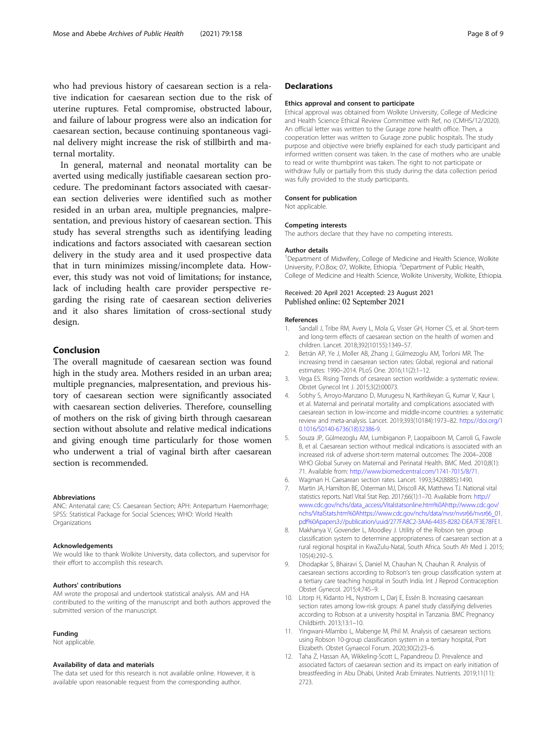<span id="page-7-0"></span>who had previous history of caesarean section is a relative indication for caesarean section due to the risk of uterine ruptures. Fetal compromise, obstructed labour, and failure of labour progress were also an indication for caesarean section, because continuing spontaneous vaginal delivery might increase the risk of stillbirth and maternal mortality.

In general, maternal and neonatal mortality can be averted using medically justifiable caesarean section procedure. The predominant factors associated with caesarean section deliveries were identified such as mother resided in an urban area, multiple pregnancies, malpresentation, and previous history of caesarean section. This study has several strengths such as identifying leading indications and factors associated with caesarean section delivery in the study area and it used prospective data that in turn minimizes missing/incomplete data. However, this study was not void of limitations; for instance, lack of including health care provider perspective regarding the rising rate of caesarean section deliveries and it also shares limitation of cross-sectional study design.

## Conclusion

The overall magnitude of caesarean section was found high in the study area. Mothers resided in an urban area; multiple pregnancies, malpresentation, and previous history of caesarean section were significantly associated with caesarean section deliveries. Therefore, counselling of mothers on the risk of giving birth through caesarean section without absolute and relative medical indications and giving enough time particularly for those women who underwent a trial of vaginal birth after caesarean section is recommended.

#### Abbreviations

ANC: Antenatal care; CS: Caesarean Section; APH: Antepartum Haemorrhage; SPSS: Statistical Package for Social Sciences; WHO: World Health Organizations

#### Acknowledgements

We would like to thank Wolkite University, data collectors, and supervisor for their effort to accomplish this research.

#### Authors' contributions

AM wrote the proposal and undertook statistical analysis. AM and HA contributed to the writing of the manuscript and both authors approved the submitted version of the manuscript.

#### Funding

Not applicable.

#### Availability of data and materials

The data set used for this research is not available online. However, it is available upon reasonable request from the corresponding author.

## **Declarations**

#### Ethics approval and consent to participate

Ethical approval was obtained from Wolkite University, College of Medicine and Health Science Ethical Review Committee with Ref, no (CMHS/12/2020). An official letter was written to the Gurage zone health office. Then, a cooperation letter was written to Gurage zone public hospitals. The study purpose and objective were briefly explained for each study participant and informed written consent was taken. In the case of mothers who are unable to read or write thumbprint was taken. The right to not participate or withdraw fully or partially from this study during the data collection period was fully provided to the study participants.

#### Consent for publication

Not applicable.

#### Competing interests

The authors declare that they have no competing interests.

#### Author details

<sup>1</sup>Department of Midwifery, College of Medicine and Health Science, Wolkite University, P.O.Box; 07, Wolkite, Ethiopia. <sup>2</sup>Department of Public Health College of Medicine and Health Science, Wolkite University, Wolkite, Ethiopia.

### Received: 20 April 2021 Accepted: 23 August 2021 Published online: 02 September 2021

#### References

- 1. Sandall J, Tribe RM, Avery L, Mola G, Visser GH, Homer CS, et al. Short-term and long-term effects of caesarean section on the health of women and children. Lancet. 2018;392(10155):1349–57.
- 2. Betrán AP, Ye J, Moller AB, Zhang J, Gülmezoglu AM, Torloni MR. The increasing trend in caesarean section rates: Global, regional and national estimates: 1990–2014. PLoS One. 2016;11(2):1–12.
- 3. Vega ES. Rising Trends of cesarean section worldwide: a systematic review. Obstet Gynecol Int J. 2015;3(2):00073.
- 4. Sobhy S, Arroyo-Manzano D, Murugesu N, Karthikeyan G, Kumar V, Kaur I, et al. Maternal and perinatal mortality and complications associated with caesarean section in low-income and middle-income countries: a systematic review and meta-analysis. Lancet. 2019;393(10184):1973–82. [https://doi.org/1](https://doi.org/10.1016/S0140-6736(18)32386-9) [0.1016/S0140-6736\(18\)32386-9](https://doi.org/10.1016/S0140-6736(18)32386-9).
- 5. Souza JP, Gülmezoglu AM, Lumbiganon P, Laopaiboon M, Carroli G, Fawole B, et al. Caesarean section without medical indications is associated with an increased risk of adverse short-term maternal outcomes: The 2004–2008 WHO Global Survey on Maternal and Perinatal Health. BMC Med. 2010;8(1): 71. Available from: <http://www.biomedcentral.com/1741-7015/8/71>.
- 6. Wagman H. Caesarean section rates. Lancet. 1993;342(8885):1490.
- 7. Martin JA, Hamilton BE, Osterman MJ, Driscoll AK, Matthews TJ. National vital statistics reports. Natl Vital Stat Rep. 2017;66(1):1-70. Available from: [http://](http://www.cdc.gov/nchs/data_access/Vitalstatsonline.htm%0Ahttp://www.cdc.gov/nchs/VitalStats.htm%0Ahttps://www.cdc.gov/nchs/data/nvsr/nvsr66/nvsr66_01.pdf%0Apapers3://publication/uuid/277FA8C2-3AA6-4435-8282-DEA7F3E78FE1) [www.cdc.gov/nchs/data\\_access/Vitalstatsonline.htm%0Ahttp://www.cdc.gov/](http://www.cdc.gov/nchs/data_access/Vitalstatsonline.htm%0Ahttp://www.cdc.gov/nchs/VitalStats.htm%0Ahttps://www.cdc.gov/nchs/data/nvsr/nvsr66/nvsr66_01.pdf%0Apapers3://publication/uuid/277FA8C2-3AA6-4435-8282-DEA7F3E78FE1) [nchs/VitalStats.htm%0Ahttps://www.cdc.gov/nchs/data/nvsr/nvsr66/nvsr66\\_01.](http://www.cdc.gov/nchs/data_access/Vitalstatsonline.htm%0Ahttp://www.cdc.gov/nchs/VitalStats.htm%0Ahttps://www.cdc.gov/nchs/data/nvsr/nvsr66/nvsr66_01.pdf%0Apapers3://publication/uuid/277FA8C2-3AA6-4435-8282-DEA7F3E78FE1) [pdf%0Apapers3://publication/uuid/277FA8C2-3AA6-4435-8282-DEA7F3E78FE1](http://www.cdc.gov/nchs/data_access/Vitalstatsonline.htm%0Ahttp://www.cdc.gov/nchs/VitalStats.htm%0Ahttps://www.cdc.gov/nchs/data/nvsr/nvsr66/nvsr66_01.pdf%0Apapers3://publication/uuid/277FA8C2-3AA6-4435-8282-DEA7F3E78FE1).
- 8. Makhanya V, Govender L, Moodley J. Utility of the Robson ten group classification system to determine appropriateness of caesarean section at a rural regional hospital in KwaZulu-Natal, South Africa. South Afr Med J. 2015; 105(4):292–5.
- 9. Dhodapkar S, Bhairavi S, Daniel M, Chauhan N, Chauhan R. Analysis of caesarean sections according to Robson's ten group classification system at a tertiary care teaching hospital in South India. Int J Reprod Contraception Obstet Gynecol. 2015;4:745–9.
- 10. Litorp H, Kidanto HL, Nystrom L, Darj E, Essén B. Increasing caesarean section rates among low-risk groups: A panel study classifying deliveries according to Robson at a university hospital in Tanzania. BMC Pregnancy Childbirth. 2013;13:1–10.
- 11. Yingwani-Mlambo L, Mabenge M, Phil M. Analysis of caesarean sections using Robson 10-group classification system in a tertiary hospital, Port Elizabeth. Obstet Gynaecol Forum. 2020;30(2):23–6.
- 12. Taha Z, Hassan AA, Wikkeling-Scott L, Papandreou D. Prevalence and associated factors of caesarean section and its impact on early initiation of breastfeeding in Abu Dhabi, United Arab Emirates. Nutrients. 2019;11(11): 2723.